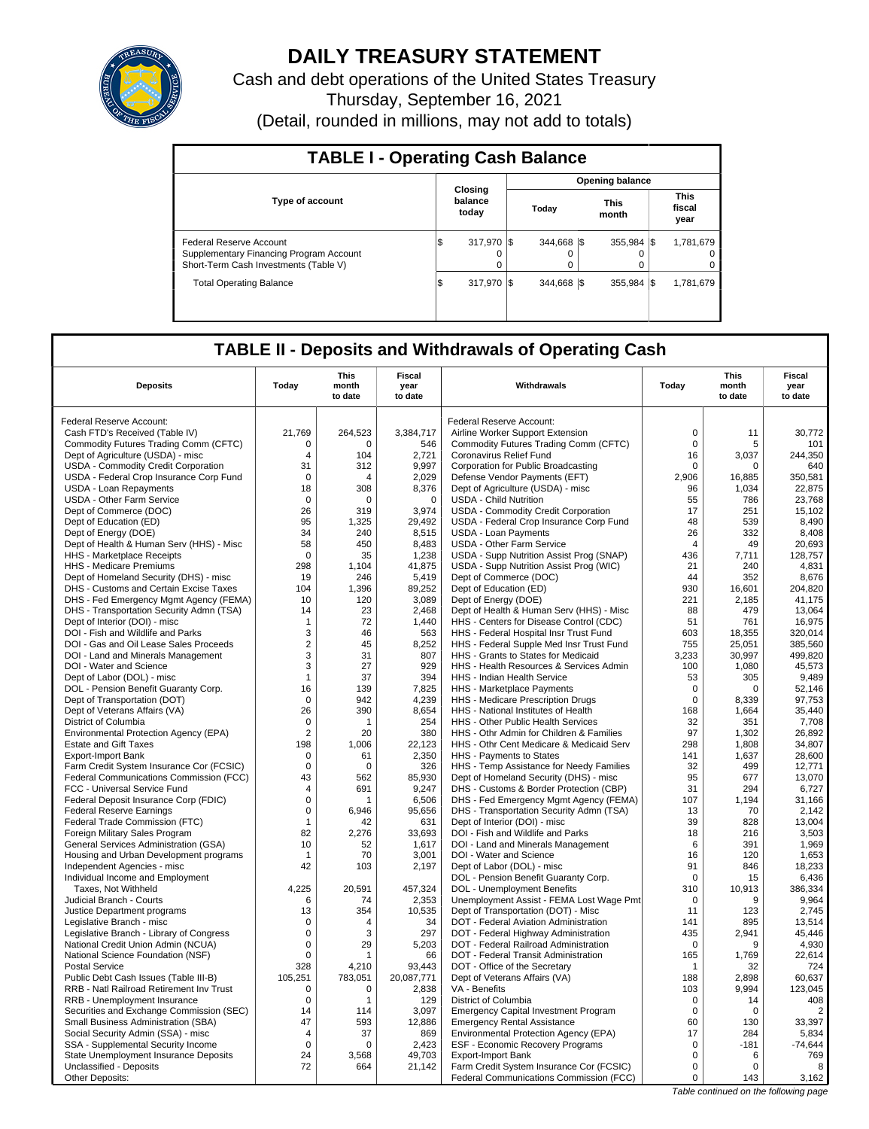

# **DAILY TREASURY STATEMENT**

Cash and debt operations of the United States Treasury Thursday, September 16, 2021 (Detail, rounded in millions, may not add to totals)

| <b>TABLE I - Operating Cash Balance</b>                                                                     |  |                             |  |                         |  |                         |  |                               |  |  |
|-------------------------------------------------------------------------------------------------------------|--|-----------------------------|--|-------------------------|--|-------------------------|--|-------------------------------|--|--|
|                                                                                                             |  |                             |  |                         |  | <b>Opening balance</b>  |  |                               |  |  |
| <b>Type of account</b>                                                                                      |  | Closing<br>balance<br>today |  | Today                   |  | <b>This</b><br>month    |  | <b>This</b><br>fiscal<br>year |  |  |
| Federal Reserve Account<br>Supplementary Financing Program Account<br>Short-Term Cash Investments (Table V) |  | 317.970 \$<br>0             |  | 344.668 \\$<br>$\Omega$ |  | $355.984$ $\frac{1}{3}$ |  | 1.781.679<br>$^{\circ}$<br>0  |  |  |
| <b>Total Operating Balance</b>                                                                              |  | 317.970 S                   |  | 344.668 \\$             |  | $355.984$ $\frac{1}{3}$ |  | 1,781,679                     |  |  |

## **TABLE II - Deposits and Withdrawals of Operating Cash**

| <b>Deposits</b>                                                          | Today             | This<br>month<br>to date | Fiscal<br>year<br>to date | Withdrawals                                                                   | Today             | <b>This</b><br>month<br>to date | <b>Fiscal</b><br>year<br>to date |
|--------------------------------------------------------------------------|-------------------|--------------------------|---------------------------|-------------------------------------------------------------------------------|-------------------|---------------------------------|----------------------------------|
|                                                                          |                   |                          |                           |                                                                               |                   |                                 |                                  |
| Federal Reserve Account:                                                 |                   |                          |                           | Federal Reserve Account:                                                      |                   |                                 |                                  |
| Cash FTD's Received (Table IV)                                           | 21,769            | 264,523                  | 3,384,717                 | Airline Worker Support Extension                                              | $\mathbf 0$       | 11                              | 30,772                           |
| Commodity Futures Trading Comm (CFTC)                                    | 0                 | 0<br>104                 | 546                       | Commodity Futures Trading Comm (CFTC)<br>Coronavirus Relief Fund              | $\mathbf 0$<br>16 | 5<br>3.037                      | 101                              |
| Dept of Agriculture (USDA) - misc<br>USDA - Commodity Credit Corporation | 4<br>31           | 312                      | 2,721<br>9,997            | Corporation for Public Broadcasting                                           | 0                 | 0                               | 244,350<br>640                   |
| USDA - Federal Crop Insurance Corp Fund                                  | 0                 | 4                        | 2,029                     | Defense Vendor Payments (EFT)                                                 | 2.906             | 16,885                          | 350,581                          |
| <b>USDA - Loan Repayments</b>                                            | 18                | 308                      | 8,376                     | Dept of Agriculture (USDA) - misc                                             | 96                | 1,034                           | 22,875                           |
| USDA - Other Farm Service                                                | $\mathbf 0$       | $\Omega$                 | $\mathbf 0$               | <b>USDA - Child Nutrition</b>                                                 | 55                | 786                             | 23.768                           |
| Dept of Commerce (DOC)                                                   | 26                | 319                      | 3,974                     | USDA - Commodity Credit Corporation                                           | 17                | 251                             | 15,102                           |
| Dept of Education (ED)                                                   | 95                | 1.325                    | 29.492                    | USDA - Federal Crop Insurance Corp Fund                                       | 48                | 539                             | 8.490                            |
| Dept of Energy (DOE)                                                     | 34                | 240                      | 8,515                     | <b>USDA - Loan Payments</b>                                                   | 26                | 332                             | 8,408                            |
| Dept of Health & Human Serv (HHS) - Misc                                 | 58                | 450                      | 8,483                     | USDA - Other Farm Service                                                     | $\overline{4}$    | 49                              | 20,693                           |
| HHS - Marketplace Receipts                                               | $\mathbf 0$       | 35                       | 1,238                     | USDA - Supp Nutrition Assist Prog (SNAP)                                      | 436               | 7,711                           | 128,757                          |
| HHS - Medicare Premiums                                                  | 298               | 1,104                    | 41,875                    | USDA - Supp Nutrition Assist Prog (WIC)                                       | 21                | 240                             | 4,831                            |
| Dept of Homeland Security (DHS) - misc                                   | 19                | 246                      | 5,419                     | Dept of Commerce (DOC)                                                        | 44                | 352                             | 8,676                            |
| DHS - Customs and Certain Excise Taxes                                   | 104               | 1,396                    | 89,252                    | Dept of Education (ED)                                                        | 930               | 16,601                          | 204,820                          |
| DHS - Fed Emergency Mgmt Agency (FEMA)                                   | 10                | 120                      | 3,089                     | Dept of Energy (DOE)                                                          | 221               | 2,185                           | 41,175                           |
| DHS - Transportation Security Admn (TSA)                                 | 14                | 23                       | 2,468                     | Dept of Health & Human Serv (HHS) - Misc                                      | 88                | 479                             | 13,064                           |
| Dept of Interior (DOI) - misc                                            | -1                | 72                       | 1,440                     | HHS - Centers for Disease Control (CDC)                                       | 51                | 761                             | 16,975                           |
| DOI - Fish and Wildlife and Parks                                        | 3                 | 46                       | 563                       | HHS - Federal Hospital Insr Trust Fund                                        | 603               | 18,355                          | 320,014                          |
| DOI - Gas and Oil Lease Sales Proceeds                                   | $\sqrt{2}$        | 45                       | 8,252                     | HHS - Federal Supple Med Insr Trust Fund                                      | 755               | 25,051                          | 385,560                          |
| DOI - Land and Minerals Management                                       | 3                 | 31                       | 807                       | HHS - Grants to States for Medicaid                                           | 3,233             | 30,997                          | 499,820                          |
| DOI - Water and Science                                                  | 3                 | 27                       | 929                       | HHS - Health Resources & Services Admin                                       | 100               | 1,080                           | 45,573                           |
| Dept of Labor (DOL) - misc                                               | $\mathbf{1}$      | 37                       | 394                       | <b>HHS - Indian Health Service</b>                                            | 53                | 305                             | 9,489                            |
| DOL - Pension Benefit Guaranty Corp.                                     | 16                | 139                      | 7,825                     | HHS - Marketplace Payments                                                    | $\mathbf 0$       | $\mathbf 0$                     | 52,146                           |
| Dept of Transportation (DOT)                                             | $\overline{0}$    | 942                      | 4,239                     | HHS - Medicare Prescription Drugs                                             | $\mathbf 0$       | 8,339                           | 97,753                           |
| Dept of Veterans Affairs (VA)                                            | 26                | 390                      | 8,654                     | HHS - National Institutes of Health                                           | 168               | 1,664                           | 35,440                           |
| District of Columbia                                                     | $\mathbf 0$       | 1                        | 254                       | HHS - Other Public Health Services                                            | 32                | 351                             | 7,708                            |
| Environmental Protection Agency (EPA)                                    | $\overline{2}$    | 20                       | 380                       | HHS - Othr Admin for Children & Families                                      | 97                | 1,302                           | 26,892                           |
| <b>Estate and Gift Taxes</b>                                             | 198               | 1,006                    | 22,123                    | HHS - Othr Cent Medicare & Medicaid Serv                                      | 298               | 1,808                           | 34,807                           |
| <b>Export-Import Bank</b>                                                | 0                 | 61                       | 2,350                     | HHS - Payments to States                                                      | 141               | 1,637                           | 28,600                           |
| Farm Credit System Insurance Cor (FCSIC)                                 | $\mathbf 0$       | $\mathbf 0$              | 326                       | HHS - Temp Assistance for Needy Families                                      | 32                | 499                             | 12,771                           |
| Federal Communications Commission (FCC)                                  | 43                | 562                      | 85,930                    | Dept of Homeland Security (DHS) - misc                                        | 95                | 677                             | 13,070                           |
| FCC - Universal Service Fund                                             | $\overline{4}$    | 691                      | 9,247                     | DHS - Customs & Border Protection (CBP)                                       | 31                | 294                             | 6,727                            |
| Federal Deposit Insurance Corp (FDIC)                                    | $\Omega$          | 1                        | 6,506                     | DHS - Fed Emergency Mgmt Agency (FEMA)                                        | 107               | 1,194                           | 31,166                           |
| <b>Federal Reserve Earnings</b>                                          | $\mathbf 0$       | 6,946                    | 95,656                    | DHS - Transportation Security Admn (TSA)                                      | 13                | 70                              | 2,142                            |
| Federal Trade Commission (FTC)                                           | $\mathbf{1}$      | 42                       | 631                       | Dept of Interior (DOI) - misc                                                 | 39                | 828                             | 13,004                           |
| Foreign Military Sales Program                                           | 82                | 2.276                    | 33.693                    | DOI - Fish and Wildlife and Parks                                             | 18                | 216                             | 3,503                            |
| General Services Administration (GSA)                                    | 10                | 52                       | 1,617                     | DOI - Land and Minerals Management                                            | 6                 | 391                             | 1,969                            |
| Housing and Urban Development programs                                   | -1                | 70                       | 3,001                     | DOI - Water and Science                                                       | 16                | 120                             | 1,653                            |
| Independent Agencies - misc                                              | 42                | 103                      | 2,197                     | Dept of Labor (DOL) - misc                                                    | 91                | 846                             | 18,233                           |
| Individual Income and Employment                                         |                   |                          |                           | DOL - Pension Benefit Guaranty Corp.                                          | $\Omega$          | 15                              | 6.436                            |
| Taxes, Not Withheld                                                      | 4,225             | 20,591                   | 457,324                   | DOL - Unemployment Benefits                                                   | 310               | 10,913                          | 386,334                          |
| Judicial Branch - Courts                                                 | 6                 | 74                       | 2,353                     | Unemployment Assist - FEMA Lost Wage Pmt                                      | $\Omega$          | 9                               | 9,964                            |
| Justice Department programs                                              | 13<br>$\mathbf 0$ | 354<br>$\overline{4}$    | 10,535<br>34              | Dept of Transportation (DOT) - Misc                                           | 11<br>141         | 123                             | 2,745                            |
| Legislative Branch - misc<br>Legislative Branch - Library of Congress    | $\mathbf 0$       | 3                        | 297                       | DOT - Federal Aviation Administration<br>DOT - Federal Highway Administration | 435               | 895<br>2,941                    | 13,514<br>45.446                 |
| National Credit Union Admin (NCUA)                                       | $\mathbf 0$       | 29                       | 5,203                     | DOT - Federal Railroad Administration                                         | 0                 | 9                               | 4,930                            |
| National Science Foundation (NSF)                                        | $\mathbf 0$       | 1                        | 66                        | DOT - Federal Transit Administration                                          | 165               | 1,769                           | 22.614                           |
| <b>Postal Service</b>                                                    | 328               | 4,210                    | 93,443                    | DOT - Office of the Secretary                                                 | 1                 | 32                              | 724                              |
| Public Debt Cash Issues (Table III-B)                                    | 105,251           | 783,051                  | 20,087,771                | Dept of Veterans Affairs (VA)                                                 | 188               | 2,898                           | 60,637                           |
| RRB - Natl Railroad Retirement Inv Trust                                 | 0                 | $\mathbf 0$              | 2,838                     | VA - Benefits                                                                 | 103               | 9,994                           | 123,045                          |
| RRB - Unemployment Insurance                                             | $\mathbf 0$       | 1                        | 129                       | District of Columbia                                                          | $\mathsf 0$       | 14                              | 408                              |
| Securities and Exchange Commission (SEC)                                 | 14                | 114                      | 3,097                     | <b>Emergency Capital Investment Program</b>                                   | $\mathbf 0$       | $\mathbf 0$                     | $\overline{2}$                   |
| Small Business Administration (SBA)                                      | 47                | 593                      | 12,886                    | <b>Emergency Rental Assistance</b>                                            | 60                | 130                             | 33,397                           |
| Social Security Admin (SSA) - misc                                       | 4                 | 37                       | 869                       | Environmental Protection Agency (EPA)                                         | 17                | 284                             | 5,834                            |
| SSA - Supplemental Security Income                                       | $\mathbf 0$       | 0                        | 2,423                     | <b>ESF - Economic Recovery Programs</b>                                       | $\mathbf 0$       | $-181$                          | $-74,644$                        |
| State Unemployment Insurance Deposits                                    | 24                | 3,568                    | 49,703                    | <b>Export-Import Bank</b>                                                     | $\mathbf 0$       | 6                               | 769                              |
| Unclassified - Deposits                                                  | 72                | 664                      | 21,142                    | Farm Credit System Insurance Cor (FCSIC)                                      | $\mathbf 0$       | $\Omega$                        | 8                                |
| Other Deposits:                                                          |                   |                          |                           | Federal Communications Commission (FCC)                                       | $\mathbf 0$       | 143                             | 3,162                            |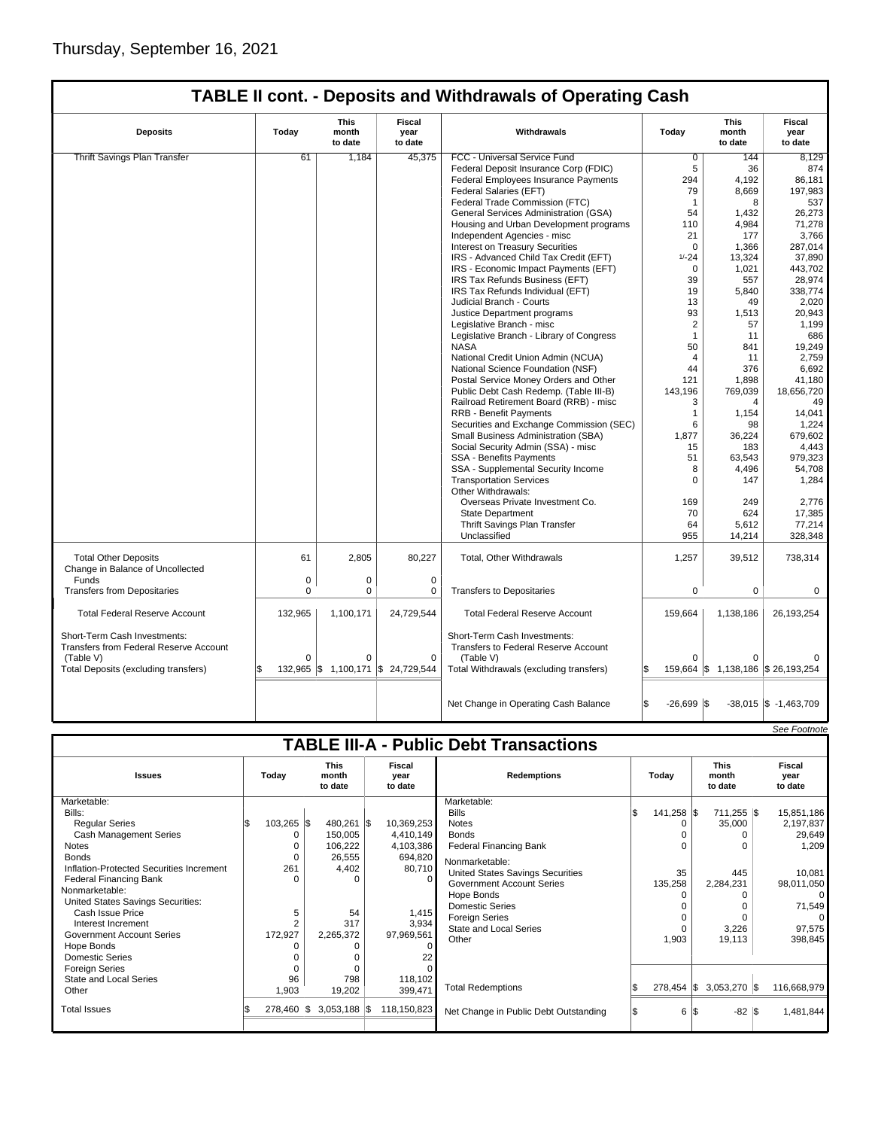| <b>Deposits</b>                                                                     | Today    | This<br>month<br>to date | Fiscal<br>year<br>to date | Withdrawals                                                                       | Today               | This<br>month<br>to date         | Fiscal<br>year<br>to date |
|-------------------------------------------------------------------------------------|----------|--------------------------|---------------------------|-----------------------------------------------------------------------------------|---------------------|----------------------------------|---------------------------|
| <b>Thrift Savings Plan Transfer</b>                                                 | 61       | 1,184                    | 45,375                    | FCC - Universal Service Fund                                                      | $\overline{0}$      | 144                              | 8.129                     |
|                                                                                     |          |                          |                           | Federal Deposit Insurance Corp (FDIC)                                             | 5                   | 36                               | 874                       |
|                                                                                     |          |                          |                           | Federal Employees Insurance Payments                                              | 294                 | 4.192                            | 86,181                    |
|                                                                                     |          |                          |                           | Federal Salaries (EFT)                                                            | 79                  | 8,669                            | 197,983                   |
|                                                                                     |          |                          |                           | Federal Trade Commission (FTC)                                                    | $\mathbf{1}$        | 8                                | 537                       |
|                                                                                     |          |                          |                           | General Services Administration (GSA)                                             | 54                  | 1,432                            | 26,273                    |
|                                                                                     |          |                          |                           | Housing and Urban Development programs                                            | 110                 | 4,984                            | 71,278                    |
|                                                                                     |          |                          |                           | Independent Agencies - misc                                                       | 21                  | 177                              | 3,766                     |
|                                                                                     |          |                          |                           | Interest on Treasury Securities                                                   | $\Omega$            | 1,366                            | 287,014                   |
|                                                                                     |          |                          |                           | IRS - Advanced Child Tax Credit (EFT)                                             | $1/-24$             | 13,324                           | 37,890                    |
|                                                                                     |          |                          |                           | IRS - Economic Impact Payments (EFT)                                              | $\mathbf 0$         | 1,021                            | 443,702                   |
|                                                                                     |          |                          |                           | IRS Tax Refunds Business (EFT)                                                    | 39                  | 557                              | 28,974                    |
|                                                                                     |          |                          |                           | IRS Tax Refunds Individual (EFT)                                                  | 19                  | 5,840                            | 338,774                   |
|                                                                                     |          |                          |                           | Judicial Branch - Courts                                                          | 13                  | 49                               | 2,020                     |
|                                                                                     |          |                          |                           | Justice Department programs                                                       | 93                  | 1,513                            | 20,943                    |
|                                                                                     |          |                          |                           | Legislative Branch - misc                                                         | $\overline{2}$      | 57                               | 1,199                     |
|                                                                                     |          |                          |                           | Legislative Branch - Library of Congress                                          | $\mathbf{1}$        | 11                               | 686                       |
|                                                                                     |          |                          |                           | <b>NASA</b>                                                                       | 50                  | 841                              | 19,249                    |
|                                                                                     |          |                          |                           | National Credit Union Admin (NCUA)                                                | $\overline{4}$      | 11                               | 2,759                     |
|                                                                                     |          |                          |                           | National Science Foundation (NSF)                                                 | 44                  | 376                              | 6,692                     |
|                                                                                     |          |                          |                           | Postal Service Money Orders and Other                                             | 121                 | 1,898                            | 41,180                    |
|                                                                                     |          |                          |                           | Public Debt Cash Redemp. (Table III-B)                                            | 143,196             | 769,039                          | 18,656,720                |
|                                                                                     |          |                          |                           | Railroad Retirement Board (RRB) - misc                                            | 3                   | 4                                | 49                        |
|                                                                                     |          |                          |                           | <b>RRB - Benefit Payments</b>                                                     | $\mathbf{1}$        | 1.154                            | 14,041                    |
|                                                                                     |          |                          |                           | Securities and Exchange Commission (SEC)                                          | 6                   | 98                               | 1,224                     |
|                                                                                     |          |                          |                           | Small Business Administration (SBA)                                               | 1,877               | 36,224                           | 679,602                   |
|                                                                                     |          |                          |                           | Social Security Admin (SSA) - misc                                                | 15                  | 183                              | 4,443                     |
|                                                                                     |          |                          |                           | <b>SSA - Benefits Payments</b>                                                    | 51                  | 63,543                           | 979,323                   |
|                                                                                     |          |                          |                           | SSA - Supplemental Security Income                                                | 8                   | 4,496                            | 54,708                    |
|                                                                                     |          |                          |                           | <b>Transportation Services</b><br>Other Withdrawals:                              | $\Omega$            | 147                              | 1,284                     |
|                                                                                     |          |                          |                           | Overseas Private Investment Co.                                                   | 169                 | 249                              | 2,776                     |
|                                                                                     |          |                          |                           | <b>State Department</b>                                                           | 70                  | 624                              | 17,385                    |
|                                                                                     |          |                          |                           | Thrift Savings Plan Transfer                                                      | 64                  | 5,612                            | 77,214                    |
|                                                                                     |          |                          |                           | Unclassified                                                                      | 955                 | 14,214                           | 328,348                   |
| <b>Total Other Deposits</b>                                                         | 61       | 2,805                    | 80,227                    | Total, Other Withdrawals                                                          | 1,257               | 39,512                           | 738,314                   |
| Change in Balance of Uncollected<br>Funds                                           | 0        | 0                        | $\mathbf 0$               |                                                                                   |                     |                                  |                           |
|                                                                                     | $\Omega$ | 0                        |                           |                                                                                   | 0                   |                                  |                           |
| <b>Transfers from Depositaries</b>                                                  |          |                          | 0                         | <b>Transfers to Depositaries</b>                                                  |                     | 0                                | 0                         |
| <b>Total Federal Reserve Account</b>                                                | 132,965  | 1,100,171                | 24,729,544                | <b>Total Federal Reserve Account</b>                                              | 159,664             | 1,138,186                        | 26,193,254                |
| Short-Term Cash Investments:<br>Transfers from Federal Reserve Account<br>(Table V) | $\Omega$ | 0                        | $\mathbf 0$               | Short-Term Cash Investments:<br>Transfers to Federal Reserve Account<br>(Table V) | $\Omega$            |                                  |                           |
|                                                                                     |          |                          |                           |                                                                                   | l\$                 |                                  |                           |
| Total Deposits (excluding transfers)                                                |          | 132,965 \$ 1,100,171     | \$24,729,544              | Total Withdrawals (excluding transfers)                                           |                     | 159,664 \$1,138,186 \$26,193,254 |                           |
|                                                                                     |          |                          |                           | Net Change in Operating Cash Balance                                              | l\$<br>$-26,699$ \$ |                                  | $-38,015$ \$ $-1,463,709$ |

|                                               |  |              |  |                                 |  |                           |                                       |    |               |  |                                 |  | See Footnote              |
|-----------------------------------------------|--|--------------|--|---------------------------------|--|---------------------------|---------------------------------------|----|---------------|--|---------------------------------|--|---------------------------|
| <b>TABLE III-A - Public Debt Transactions</b> |  |              |  |                                 |  |                           |                                       |    |               |  |                                 |  |                           |
| <b>Issues</b>                                 |  | Today        |  | <b>This</b><br>month<br>to date |  | Fiscal<br>year<br>to date | <b>Redemptions</b>                    |    | Todav         |  | <b>This</b><br>month<br>to date |  | Fiscal<br>year<br>to date |
| Marketable:                                   |  |              |  |                                 |  |                           | Marketable:                           |    |               |  |                                 |  |                           |
| Bills:                                        |  |              |  |                                 |  |                           | <b>Bills</b>                          | ß. | 141,258 \$    |  | 711,255 \$                      |  | 15,851,186                |
| <b>Regular Series</b>                         |  | $103,265$ \$ |  | 480,261 \$                      |  | 10,369,253                | <b>Notes</b>                          |    | n             |  | 35,000                          |  | 2,197,837                 |
| Cash Management Series                        |  | $\Omega$     |  | 150,005                         |  | 4,410,149                 | <b>Bonds</b>                          |    |               |  |                                 |  | 29,649                    |
| Notes                                         |  | 0            |  | 106,222                         |  | 4,103,386                 | <b>Federal Financing Bank</b>         |    | n             |  |                                 |  | 1,209                     |
| <b>Bonds</b>                                  |  | $\Omega$     |  | 26,555                          |  | 694,820                   | Nonmarketable:                        |    |               |  |                                 |  |                           |
| Inflation-Protected Securities Increment      |  | 261          |  | 4,402                           |  | 80,710                    | United States Savings Securities      |    | 35            |  | 445                             |  | 10,081                    |
| Federal Financing Bank                        |  | $\Omega$     |  |                                 |  | $\Omega$                  | <b>Government Account Series</b>      |    | 135,258       |  | 2,284,231                       |  | 98,011,050                |
| Nonmarketable:                                |  |              |  |                                 |  |                           | Hope Bonds                            |    |               |  |                                 |  | $\Omega$                  |
| United States Savings Securities:             |  |              |  |                                 |  |                           | <b>Domestic Series</b>                |    |               |  |                                 |  | 71,549                    |
| Cash Issue Price                              |  | 5            |  | 54                              |  | 1,415                     | <b>Foreign Series</b>                 |    | $\Omega$      |  |                                 |  | 0                         |
| Interest Increment                            |  | 2            |  | 317                             |  | 3,934                     | <b>State and Local Series</b>         |    | $\Omega$      |  | 3,226                           |  | 97,575                    |
| <b>Government Account Series</b>              |  | 172,927      |  | 2,265,372                       |  | 97,969,561                | Other                                 |    | 1,903         |  | 19,113                          |  | 398,845                   |
| Hope Bonds                                    |  | O            |  |                                 |  | $\Omega$                  |                                       |    |               |  |                                 |  |                           |
| Domestic Series                               |  |              |  |                                 |  | 22                        |                                       |    |               |  |                                 |  |                           |
| <b>Foreign Series</b>                         |  | $\Omega$     |  |                                 |  |                           |                                       |    |               |  |                                 |  |                           |
| <b>State and Local Series</b>                 |  | 96           |  | 798                             |  | 118,102                   |                                       |    |               |  |                                 |  |                           |
| Other                                         |  | 1,903        |  | 19,202                          |  | 399,471                   | <b>Total Redemptions</b>              |    | $278,454$ \\$ |  | $3,053,270$ \$                  |  | 116,668,979               |
| <b>Total Issues</b>                           |  | 278,460 \$   |  | $3,053,188$ \$                  |  | 118,150,823               | Net Change in Public Debt Outstanding |    | 6 IS          |  | $-82$ $\sqrt{5}$                |  | 1,481,844                 |
|                                               |  |              |  |                                 |  |                           |                                       |    |               |  |                                 |  |                           |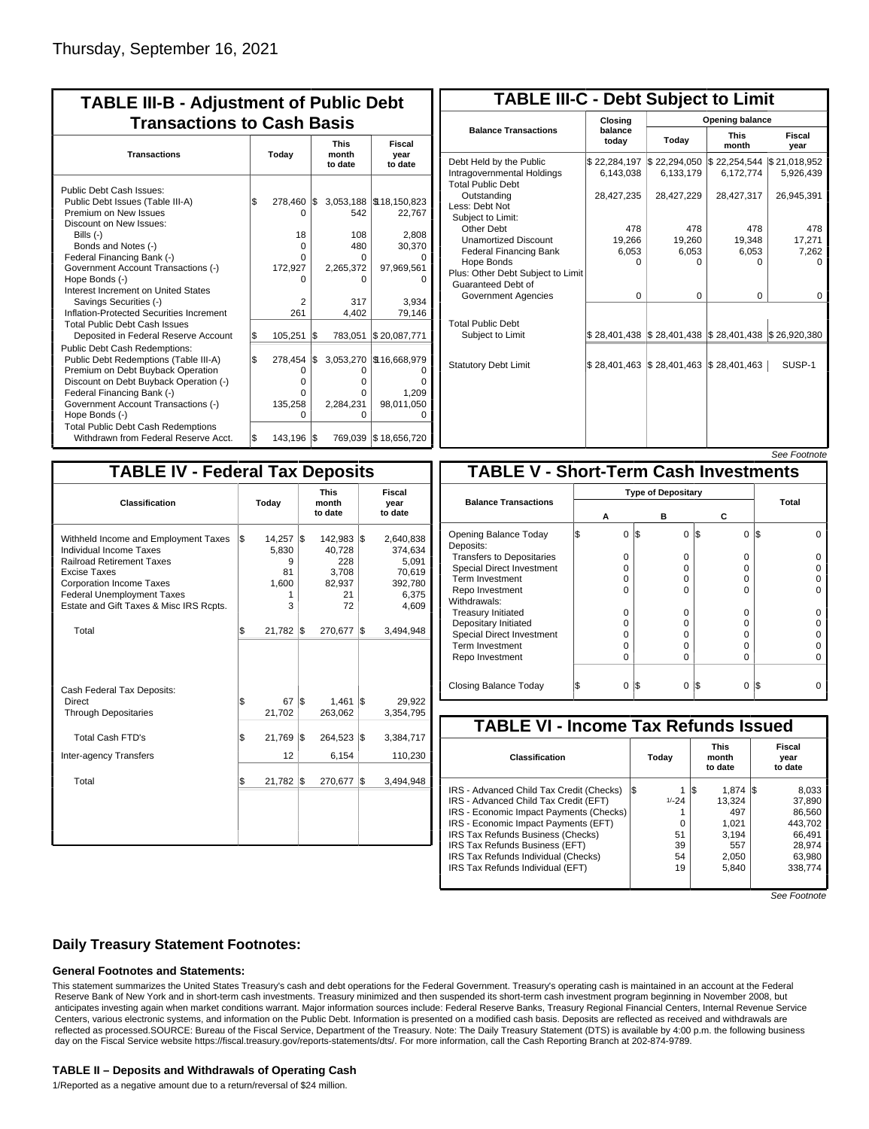| <b>TABLE III-B - Adjustment of Public Debt</b><br><b>Transactions to Cash Basis</b> |       |          |     |           |                                 |  |                           |  |  |  |
|-------------------------------------------------------------------------------------|-------|----------|-----|-----------|---------------------------------|--|---------------------------|--|--|--|
| <b>Transactions</b>                                                                 | Today |          |     |           | <b>This</b><br>month<br>to date |  | Fiscal<br>year<br>to date |  |  |  |
| Public Debt Cash Issues:                                                            |       |          |     |           |                                 |  |                           |  |  |  |
| Public Debt Issues (Table III-A)                                                    | \$    | 278,460  | I\$ |           | 3,053,188   \$18,150,823        |  |                           |  |  |  |
| Premium on New Issues                                                               |       | 0        |     | 542       | 22,767                          |  |                           |  |  |  |
| Discount on New Issues:                                                             |       |          |     |           |                                 |  |                           |  |  |  |
| Bills $(-)$                                                                         |       | 18       |     | 108       | 2,808                           |  |                           |  |  |  |
| Bonds and Notes (-)                                                                 |       | 0        |     | 480       | 30,370                          |  |                           |  |  |  |
| Federal Financing Bank (-)                                                          |       | 0        |     | U         |                                 |  |                           |  |  |  |
| Government Account Transactions (-)                                                 |       | 172.927  |     | 2,265,372 | 97,969,561                      |  |                           |  |  |  |
| Hope Bonds (-)                                                                      |       | n        |     | U         | O                               |  |                           |  |  |  |
| Interest Increment on United States                                                 |       |          |     |           |                                 |  |                           |  |  |  |
| Savings Securities (-)                                                              |       | 2        |     | 317       | 3.934                           |  |                           |  |  |  |
| Inflation-Protected Securities Increment                                            |       | 261      |     | 4.402     | 79,146                          |  |                           |  |  |  |
| <b>Total Public Debt Cash Issues</b>                                                |       |          |     |           |                                 |  |                           |  |  |  |
| Deposited in Federal Reserve Account                                                | S.    | 105,251  | l\$ | 783.051   | \$20,087,771                    |  |                           |  |  |  |
| <b>Public Debt Cash Redemptions:</b>                                                |       |          |     |           |                                 |  |                           |  |  |  |
| Public Debt Redemptions (Table III-A)                                               | l\$   | 278,454  | l\$ | 3,053,270 | \$16,668,979                    |  |                           |  |  |  |
| Premium on Debt Buyback Operation                                                   |       | 0        |     | O         |                                 |  |                           |  |  |  |
| Discount on Debt Buyback Operation (-)                                              |       | $\Omega$ |     | o         | n                               |  |                           |  |  |  |
| Federal Financing Bank (-)                                                          |       | O        |     | o         | 1.209                           |  |                           |  |  |  |
| Government Account Transactions (-)                                                 |       | 135,258  |     | 2,284,231 | 98,011,050                      |  |                           |  |  |  |
| Hope Bonds (-)                                                                      |       | O        |     | O         | O                               |  |                           |  |  |  |
| <b>Total Public Debt Cash Redemptions</b>                                           |       |          |     |           |                                 |  |                           |  |  |  |
| Withdrawn from Federal Reserve Acct.                                                | l\$   | 143,196  | l\$ |           | 769,039 \$18,656,720            |  |                           |  |  |  |

| <b>TABLE III-C - Debt Subject to Limit</b>                                        |                           |                                                           |                           |                           |  |  |  |  |  |  |
|-----------------------------------------------------------------------------------|---------------------------|-----------------------------------------------------------|---------------------------|---------------------------|--|--|--|--|--|--|
|                                                                                   | Closing                   | Opening balance                                           |                           |                           |  |  |  |  |  |  |
| <b>Balance Transactions</b>                                                       | balance<br>todav          | Today                                                     | <b>This</b><br>month      | Fiscal<br>year            |  |  |  |  |  |  |
| Debt Held by the Public<br>Intragovernmental Holdings<br><b>Total Public Debt</b> | \$22,284,197<br>6,143,038 | \$22,294,050<br>6,133,179                                 | \$22,254,544<br>6,172,774 | \$21,018,952<br>5,926,439 |  |  |  |  |  |  |
| Outstanding<br>Less: Debt Not<br>Subject to Limit:                                | 28,427,235                | 28,427,229                                                | 28,427,317                | 26,945,391                |  |  |  |  |  |  |
| Other Debt                                                                        | 478                       | 478                                                       | 478                       | 478                       |  |  |  |  |  |  |
| <b>Unamortized Discount</b>                                                       | 19,266                    | 19,260                                                    | 19,348                    | 17,271                    |  |  |  |  |  |  |
| <b>Federal Financing Bank</b>                                                     | 6,053                     | 6,053                                                     | 6,053                     | 7,262                     |  |  |  |  |  |  |
| Hope Bonds<br>Plus: Other Debt Subject to Limit<br>Guaranteed Debt of             | $\Omega$                  | O                                                         | n                         | n                         |  |  |  |  |  |  |
| Government Agencies                                                               | $\Omega$                  | $\Omega$                                                  | $\Omega$                  | 0                         |  |  |  |  |  |  |
| <b>Total Public Debt</b><br>Subject to Limit                                      |                           | \$28,401,438   \$28,401,438   \$28,401,438   \$26,920,380 |                           |                           |  |  |  |  |  |  |
| <b>Statutory Debt Limit</b>                                                       | \$28.401.463              | \$28,401,463                                              | \$28,401,463              | SUSP-1                    |  |  |  |  |  |  |
|                                                                                   |                           |                                                           |                           |                           |  |  |  |  |  |  |

| <b>TABLE IV - Federal Tax Deposits</b>                                                                                                                                                                                                        |     |                                                |     |                                                            |     |                                                                      |
|-----------------------------------------------------------------------------------------------------------------------------------------------------------------------------------------------------------------------------------------------|-----|------------------------------------------------|-----|------------------------------------------------------------|-----|----------------------------------------------------------------------|
| Classification                                                                                                                                                                                                                                |     | Today                                          |     | <b>This</b><br>month<br>to date                            |     | Fiscal<br>year<br>to date                                            |
| Withheld Income and Employment Taxes<br>Individual Income Taxes<br><b>Railroad Retirement Taxes</b><br><b>Excise Taxes</b><br><b>Corporation Income Taxes</b><br><b>Federal Unemployment Taxes</b><br>Estate and Gift Taxes & Misc IRS Rcpts. | \$  | $14,257$ \\$<br>5,830<br>9<br>81<br>1,600<br>3 |     | 142,983 \$<br>40,728<br>228<br>3,708<br>82,937<br>21<br>72 |     | 2,640,838<br>374,634<br>5,091<br>70,619<br>392,780<br>6,375<br>4,609 |
| Total                                                                                                                                                                                                                                         | \$  | 21,782   \$                                    |     | 270,677                                                    | 1\$ | 3,494,948                                                            |
| Cash Federal Tax Deposits:<br>Direct<br><b>Through Depositaries</b>                                                                                                                                                                           | \$  | 67<br>21,702                                   | l\$ | 1,461<br>263,062                                           | l\$ | 29,922<br>3,354,795                                                  |
| <b>Total Cash FTD's</b>                                                                                                                                                                                                                       | Ŝ.  | 21,769                                         | l\$ | 264,523                                                    | 1\$ | 3,384,717                                                            |
| Inter-agency Transfers                                                                                                                                                                                                                        |     | 12                                             |     | 6,154                                                      |     | 110,230                                                              |
| Total                                                                                                                                                                                                                                         | l\$ | 21,782                                         | 1\$ | 270.677                                                    | l\$ | 3,494,948                                                            |
|                                                                                                                                                                                                                                               |     |                                                |     |                                                            |     |                                                                      |

|                                              |                           |   |     |          |          | <i>See Footnote</i> |  |  |  |  |
|----------------------------------------------|---------------------------|---|-----|----------|----------|---------------------|--|--|--|--|
| <b>TABLE V - Short-Term Cash Investments</b> |                           |   |     |          |          |                     |  |  |  |  |
|                                              | <b>Type of Depositary</b> |   |     |          |          |                     |  |  |  |  |
| <b>Balance Transactions</b>                  |                           |   |     |          |          | Total               |  |  |  |  |
|                                              | А                         |   |     | в        | С        |                     |  |  |  |  |
| Opening Balance Today<br>Deposits:           |                           | 0 | 1\$ | $\Omega$ | 0<br>I\$ | I\$<br>o            |  |  |  |  |
| <b>Transfers to Depositaries</b>             |                           | O |     | O        | 0        |                     |  |  |  |  |
| <b>Special Direct Investment</b>             |                           | O |     | Ω        | 0        |                     |  |  |  |  |
| Term Investment                              |                           | Ω |     | Ω        | 0        |                     |  |  |  |  |
| Repo Investment                              |                           | ი |     | ი        | 0        |                     |  |  |  |  |
| Withdrawals:                                 |                           |   |     |          |          |                     |  |  |  |  |
| <b>Treasury Initiated</b>                    |                           | O |     | O        | 0        |                     |  |  |  |  |
| Depositary Initiated                         |                           | O |     | Ω        | 0        |                     |  |  |  |  |
| Special Direct Investment                    |                           | Ω |     | Ω        | 0        |                     |  |  |  |  |
| <b>Term Investment</b>                       |                           | Ω |     | Ω        | 0        |                     |  |  |  |  |
| Repo Investment                              |                           | 0 |     | 0        | 0        |                     |  |  |  |  |
|                                              |                           |   |     |          |          |                     |  |  |  |  |
| Closing Balance Today                        |                           | 0 | I\$ | 0        | S<br>0   | I\$                 |  |  |  |  |

| <b>TABLE VI - Income Tax Refunds Issued</b> |         |     |                                 |  |                           |  |  |  |  |  |
|---------------------------------------------|---------|-----|---------------------------------|--|---------------------------|--|--|--|--|--|
| <b>Classification</b>                       | Today   |     | <b>This</b><br>month<br>to date |  | Fiscal<br>year<br>to date |  |  |  |  |  |
| IRS - Advanced Child Tax Credit (Checks)    | l\$     | 135 | $1.874$ S                       |  | 8,033                     |  |  |  |  |  |
| IRS - Advanced Child Tax Credit (EFT)       | $1/-24$ |     | 13.324                          |  | 37.890                    |  |  |  |  |  |
| IRS - Economic Impact Payments (Checks)     |         |     | 497                             |  | 86.560                    |  |  |  |  |  |
| IRS - Economic Impact Payments (EFT)        | 0       |     | 1.021                           |  | 443.702                   |  |  |  |  |  |
| IRS Tax Refunds Business (Checks)           | 51      |     | 3.194                           |  | 66,491                    |  |  |  |  |  |
| IRS Tax Refunds Business (EFT)              | 39      |     | 557                             |  | 28.974                    |  |  |  |  |  |
| IRS Tax Refunds Individual (Checks)         | 54      |     | 2,050                           |  | 63.980                    |  |  |  |  |  |
| IRS Tax Refunds Individual (EFT)            | 19      |     | 5.840                           |  | 338.774                   |  |  |  |  |  |
|                                             |         |     |                                 |  |                           |  |  |  |  |  |

See Footnote

## **Daily Treasury Statement Footnotes:**

#### **General Footnotes and Statements:**

This statement summarizes the United States Treasury's cash and debt operations for the Federal Government. Treasury's operating cash is maintained in an account at the Federal Reserve Bank of New York and in short-term cash investments. Treasury minimized and then suspended its short-term cash investment program beginning in November 2008, but anticipates investing again when market conditions warrant. Major information sources include: Federal Reserve Banks, Treasury Regional Financial Centers, Internal Revenue Service Centers, various electronic systems, and information on the Public Debt. Information is presented on a modified cash basis. Deposits are reflected as received and withdrawals are reflected as processed.SOURCE: Bureau of the Fiscal Service, Department of the Treasury. Note: The Daily Treasury Statement (DTS) is available by 4:00 p.m. the following business day on the Fiscal Service website https://fiscal.treasury.gov/reports-statements/dts/. For more information, call the Cash Reporting Branch at 202-874-9789.

#### **TABLE II – Deposits and Withdrawals of Operating Cash**

1/Reported as a negative amount due to a return/reversal of \$24 million.